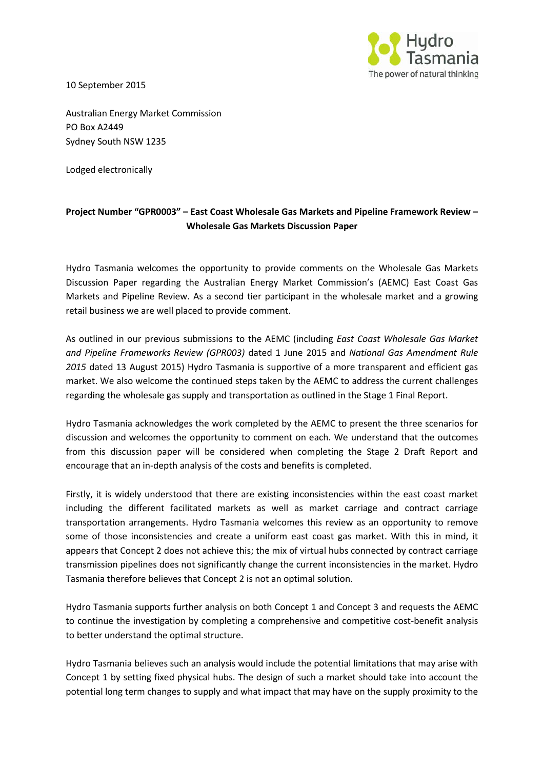

10 September 2015

Australian Energy Market Commission PO Box A2449 Sydney South NSW 1235

Lodged electronically

## **Project Number "GPR0003" – East Coast Wholesale Gas Markets and Pipeline Framework Review – Wholesale Gas Markets Discussion Paper**

Hydro Tasmania welcomes the opportunity to provide comments on the Wholesale Gas Markets Discussion Paper regarding the Australian Energy Market Commission's (AEMC) East Coast Gas Markets and Pipeline Review. As a second tier participant in the wholesale market and a growing retail business we are well placed to provide comment.

As outlined in our previous submissions to the AEMC (including *East Coast Wholesale Gas Market and Pipeline Frameworks Review (GPR003)* dated 1 June 2015 and *National Gas Amendment Rule 2015* dated 13 August 2015) Hydro Tasmania is supportive of a more transparent and efficient gas market. We also welcome the continued steps taken by the AEMC to address the current challenges regarding the wholesale gas supply and transportation as outlined in the Stage 1 Final Report.

Hydro Tasmania acknowledges the work completed by the AEMC to present the three scenarios for discussion and welcomes the opportunity to comment on each. We understand that the outcomes from this discussion paper will be considered when completing the Stage 2 Draft Report and encourage that an in-depth analysis of the costs and benefits is completed.

Firstly, it is widely understood that there are existing inconsistencies within the east coast market including the different facilitated markets as well as market carriage and contract carriage transportation arrangements. Hydro Tasmania welcomes this review as an opportunity to remove some of those inconsistencies and create a uniform east coast gas market. With this in mind, it appears that Concept 2 does not achieve this; the mix of virtual hubs connected by contract carriage transmission pipelines does not significantly change the current inconsistencies in the market. Hydro Tasmania therefore believes that Concept 2 is not an optimal solution.

Hydro Tasmania supports further analysis on both Concept 1 and Concept 3 and requests the AEMC to continue the investigation by completing a comprehensive and competitive cost-benefit analysis to better understand the optimal structure.

Hydro Tasmania believes such an analysis would include the potential limitations that may arise with Concept 1 by setting fixed physical hubs. The design of such a market should take into account the potential long term changes to supply and what impact that may have on the supply proximity to the